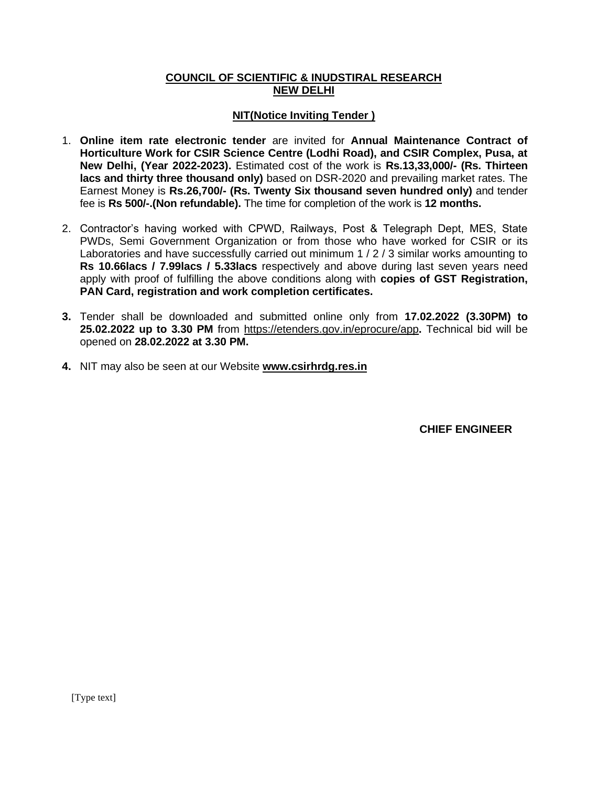#### **COUNCIL OF SCIENTIFIC & INUDSTIRAL RESEARCH NEW DELHI**

#### **NIT(Notice Inviting Tender )**

- 1. **Online item rate electronic tender** are invited for **Annual Maintenance Contract of Horticulture Work for CSIR Science Centre (Lodhi Road), and CSIR Complex, Pusa, at New Delhi, (Year 2022-2023).** Estimated cost of the work is **Rs.13,33,000/- (Rs. Thirteen lacs and thirty three thousand only)** based on DSR-2020 and prevailing market rates. The Earnest Money is **Rs.26,700/- (Rs. Twenty Six thousand seven hundred only)** and tender fee is **Rs 500/-.(Non refundable).** The time for completion of the work is **12 months.**
- 2. Contractor's having worked with CPWD, Railways, Post & Telegraph Dept, MES, State PWDs, Semi Government Organization or from those who have worked for CSIR or its Laboratories and have successfully carried out minimum 1 / 2 / 3 similar works amounting to **Rs 10.66lacs / 7.99lacs / 5.33lacs** respectively and above during last seven years need apply with proof of fulfilling the above conditions along with **copies of GST Registration, PAN Card, registration and work completion certificates.**
- **3.** Tender shall be downloaded and submitted online only from **17.02.2022 (3.30PM) to 25.02.2022 up to 3.30 PM** from<https://etenders.gov.in/eprocure/app>**.** Technical bid will be opened on **28.02.2022 at 3.30 PM.**
- **4.** NIT may also be seen at our Website **[www.csirhrdg.res.in](http://www.csirhrdg.res.in/)**

 **CHIEF ENGINEER**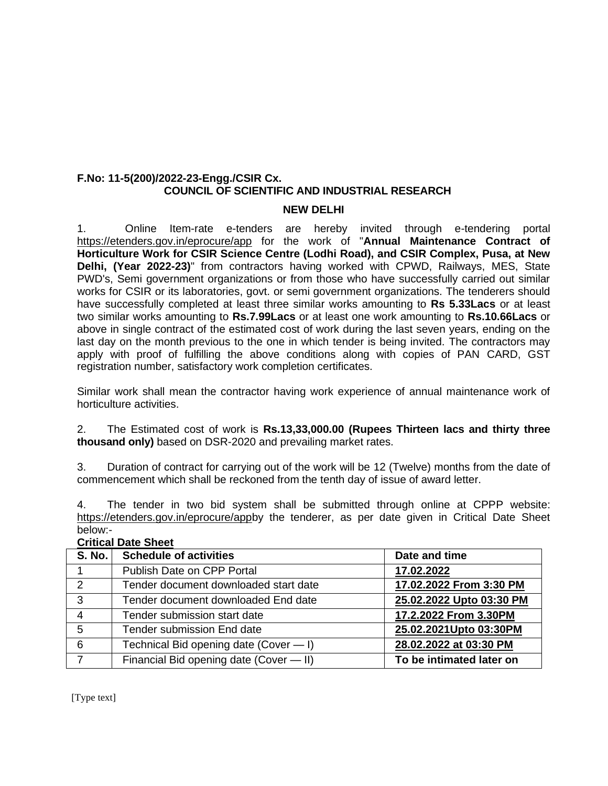#### **F.No: 11-5(200)/2022-23-Engg./CSIR Cx. COUNCIL OF SCIENTIFIC AND INDUSTRIAL RESEARCH**

#### **NEW DELHI**

1. Online Item-rate e-tenders are hereby invited through e-tendering portal <https://etenders.gov.in/eprocure/app> for the work of "**Annual Maintenance Contract of Horticulture Work for CSIR Science Centre (Lodhi Road), and CSIR Complex, Pusa, at New Delhi, (Year 2022-23)**" from contractors having worked with CPWD, Railways, MES, State PWD's, Semi government organizations or from those who have successfully carried out similar works for CSIR or its laboratories, govt. or semi government organizations. The tenderers should have successfully completed at least three similar works amounting to **Rs 5.33Lacs** or at least two similar works amounting to **Rs.7.99Lacs** or at least one work amounting to **Rs.10.66Lacs** or above in single contract of the estimated cost of work during the last seven years, ending on the last day on the month previous to the one in which tender is being invited. The contractors may apply with proof of fulfilling the above conditions along with copies of PAN CARD, GST registration number, satisfactory work completion certificates.

Similar work shall mean the contractor having work experience of annual maintenance work of horticulture activities.

2. The Estimated cost of work is **Rs.13,33,000.00 (Rupees Thirteen lacs and thirty three thousand only)** based on DSR-2020 and prevailing market rates.

3. Duration of contract for carrying out of the work will be 12 (Twelve) months from the date of commencement which shall be reckoned from the tenth day of issue of award letter.

4. The tender in two bid system shall be submitted through online at CPPP website: [https://etenders.gov.in/eprocure/appb](https://etenders.gov.in/eprocure/app)y the tenderer, as per date given in Critical Date Sheet below:-

| <b>S. No.</b> | <b>Schedule of activities</b>           | Date and time            |  |
|---------------|-----------------------------------------|--------------------------|--|
|               | Publish Date on CPP Portal              | 17.02.2022               |  |
| 2             | Tender document downloaded start date   | 17.02.2022 From 3:30 PM  |  |
| 3             | Tender document downloaded End date     | 25.02.2022 Upto 03:30 PM |  |
| 4             | Tender submission start date            | 17.2.2022 From 3.30PM    |  |
| 5             | <b>Tender submission End date</b>       | 25.02.2021Upto 03:30PM   |  |
| 6             | Technical Bid opening date (Cover - I)  | 28.02.2022 at 03:30 PM   |  |
|               | Financial Bid opening date (Cover - II) | To be intimated later on |  |

### **Critical Date Sheet**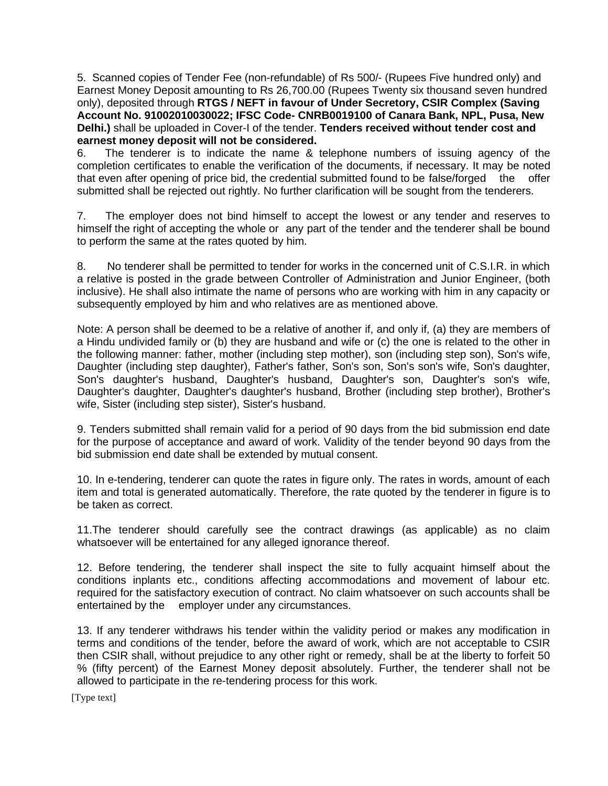5. Scanned copies of Tender Fee (non-refundable) of Rs 500/- (Rupees Five hundred only) and Earnest Money Deposit amounting to Rs 26,700.00 (Rupees Twenty six thousand seven hundred only), deposited through **RTGS / NEFT in favour of Under Secretory, CSIR Complex (Saving Account No. 91002010030022; IFSC Code- CNRB0019100 of Canara Bank, NPL, Pusa, New Delhi.)** shall be uploaded in Cover-I of the tender. **Tenders received without tender cost and earnest money deposit will not be considered.**

6. The tenderer is to indicate the name & telephone numbers of issuing agency of the completion certificates to enable the verification of the documents, if necessary. It may be noted that even after opening of price bid, the credential submitted found to be false/forged the offer submitted shall be rejected out rightly. No further clarification will be sought from the tenderers.

7. The employer does not bind himself to accept the lowest or any tender and reserves to himself the right of accepting the whole or any part of the tender and the tenderer shall be bound to perform the same at the rates quoted by him.

8. No tenderer shall be permitted to tender for works in the concerned unit of C.S.I.R. in which a relative is posted in the grade between Controller of Administration and Junior Engineer, (both inclusive). He shall also intimate the name of persons who are working with him in any capacity or subsequently employed by him and who relatives are as mentioned above.

Note: A person shall be deemed to be a relative of another if, and only if, (a) they are members of a Hindu undivided family or (b) they are husband and wife or (c) the one is related to the other in the following manner: father, mother (including step mother), son (including step son), Son's wife, Daughter (including step daughter), Father's father, Son's son, Son's son's wife, Son's daughter, Son's daughter's husband, Daughter's husband, Daughter's son, Daughter's son's wife, Daughter's daughter, Daughter's daughter's husband, Brother (including step brother), Brother's wife, Sister (including step sister), Sister's husband.

9. Tenders submitted shall remain valid for a period of 90 days from the bid submission end date for the purpose of acceptance and award of work. Validity of the tender beyond 90 days from the bid submission end date shall be extended by mutual consent.

10. In e-tendering, tenderer can quote the rates in figure only. The rates in words, amount of each item and total is generated automatically. Therefore, the rate quoted by the tenderer in figure is to be taken as correct.

11.The tenderer should carefully see the contract drawings (as applicable) as no claim whatsoever will be entertained for any alleged ignorance thereof.

12. Before tendering, the tenderer shall inspect the site to fully acquaint himself about the conditions inplants etc., conditions affecting accommodations and movement of labour etc. required for the satisfactory execution of contract. No claim whatsoever on such accounts shall be entertained by the employer under any circumstances.

13. If any tenderer withdraws his tender within the validity period or makes any modification in terms and conditions of the tender, before the award of work, which are not acceptable to CSIR then CSIR shall, without prejudice to any other right or remedy, shall be at the liberty to forfeit 50 % (fifty percent) of the Earnest Money deposit absolutely. Further, the tenderer shall not be allowed to participate in the re-tendering process for this work.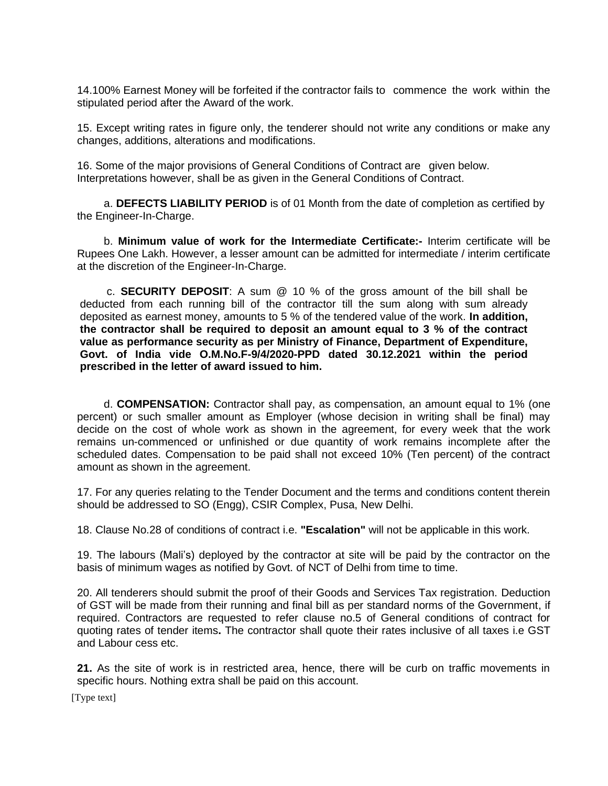14.100% Earnest Money will be forfeited if the contractor fails to commence the work within the stipulated period after the Award of the work.

15. Except writing rates in figure only, the tenderer should not write any conditions or make any changes, additions, alterations and modifications.

16. Some of the major provisions of General Conditions of Contract are given below. Interpretations however, shall be as given in the General Conditions of Contract.

a. **DEFECTS LIABILITY PERIOD** is of 01 Month from the date of completion as certified by the Engineer-In-Charge.

b. **Minimum value of work for the Intermediate Certificate:-** Interim certificate will be Rupees One Lakh. However, a lesser amount can be admitted for intermediate / interim certificate at the discretion of the Engineer-In-Charge.

c. **SECURITY DEPOSIT**: A sum @ 10 % of the gross amount of the bill shall be deducted from each running bill of the contractor till the sum along with sum already deposited as earnest money, amounts to 5 % of the tendered value of the work. **In addition, the contractor shall be required to deposit an amount equal to 3 % of the contract value as performance security as per Ministry of Finance, Department of Expenditure, Govt. of India vide O.M.No.F-9/4/2020-PPD dated 30.12.2021 within the period prescribed in the letter of award issued to him.**

d. **COMPENSATION:** Contractor shall pay, as compensation, an amount equal to 1% (one percent) or such smaller amount as Employer (whose decision in writing shall be final) may decide on the cost of whole work as shown in the agreement, for every week that the work remains un-commenced or unfinished or due quantity of work remains incomplete after the scheduled dates. Compensation to be paid shall not exceed 10% (Ten percent) of the contract amount as shown in the agreement.

17. For any queries relating to the Tender Document and the terms and conditions content therein should be addressed to SO (Engg), CSIR Complex, Pusa, New Delhi.

18. Clause No.28 of conditions of contract i.e. **"Escalation"** will not be applicable in this work.

19. The labours (Mali's) deployed by the contractor at site will be paid by the contractor on the basis of minimum wages as notified by Govt. of NCT of Delhi from time to time.

20. All tenderers should submit the proof of their Goods and Services Tax registration. Deduction of GST will be made from their running and final bill as per standard norms of the Government, if required. Contractors are requested to refer clause no.5 of General conditions of contract for quoting rates of tender items**.** The contractor shall quote their rates inclusive of all taxes i.e GST and Labour cess etc.

**21.** As the site of work is in restricted area, hence, there will be curb on traffic movements in specific hours. Nothing extra shall be paid on this account.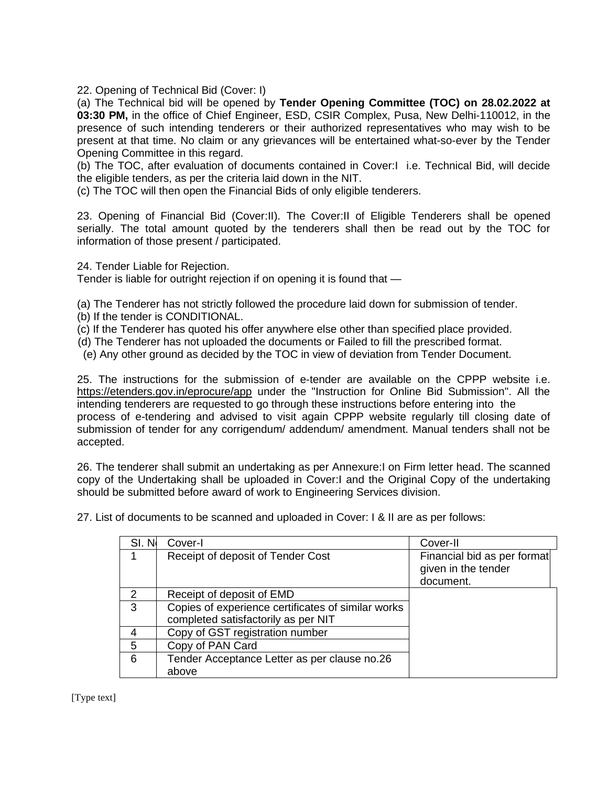22. Opening of Technical Bid (Cover: I)

(a) The Technical bid will be opened by **Tender Opening Committee (TOC) on 28.02.2022 at 03:30 PM,** in the office of Chief Engineer, ESD, CSIR Complex, Pusa, New Delhi-110012, in the presence of such intending tenderers or their authorized representatives who may wish to be present at that time. No claim or any grievances will be entertained what-so-ever by the Tender Opening Committee in this regard.

(b) The TOC, after evaluation of documents contained in Cover:I i.e. Technical Bid, will decide the eligible tenders, as per the criteria laid down in the NIT.

(c) The TOC will then open the Financial Bids of only eligible tenderers.

23. Opening of Financial Bid (Cover:II). The Cover:II of Eligible Tenderers shall be opened serially. The total amount quoted by the tenderers shall then be read out by the TOC for information of those present / participated.

24. Tender Liable for Rejection.

Tender is liable for outright rejection if on opening it is found that —

(a) The Tenderer has not strictly followed the procedure laid down for submission of tender.

- (b) If the tender is CONDITIONAL.
- (c) If the Tenderer has quoted his offer anywhere else other than specified place provided.
- (d) The Tenderer has not uploaded the documents or Failed to fill the prescribed format.
- (e) Any other ground as decided by the TOC in view of deviation from Tender Document.

25. The instructions for the submission of e-tender are available on the CPPP website i.e. <https://etenders.gov.in/eprocure/app> under the "Instruction for Online Bid Submission". All the intending tenderers are requested to go through these instructions before entering into the process of e-tendering and advised to visit again CPPP website regularly till closing date of submission of tender for any corrigendum/ addendum/ amendment. Manual tenders shall not be accepted.

26. The tenderer shall submit an undertaking as per Annexure:I on Firm letter head. The scanned copy of the Undertaking shall be uploaded in Cover:I and the Original Copy of the undertaking should be submitted before award of work to Engineering Services division.

| SI. No        | Cover-I                                                                                   | Cover-II                                                        |
|---------------|-------------------------------------------------------------------------------------------|-----------------------------------------------------------------|
|               | Receipt of deposit of Tender Cost                                                         | Financial bid as per format<br>given in the tender<br>document. |
| $\mathcal{P}$ | Receipt of deposit of EMD                                                                 |                                                                 |
| 3             | Copies of experience certificates of similar works<br>completed satisfactorily as per NIT |                                                                 |
|               | Copy of GST registration number                                                           |                                                                 |
| 5             | Copy of PAN Card                                                                          |                                                                 |
| 6             | Tender Acceptance Letter as per clause no.26<br>above                                     |                                                                 |

27. List of documents to be scanned and uploaded in Cover: I & II are as per follows: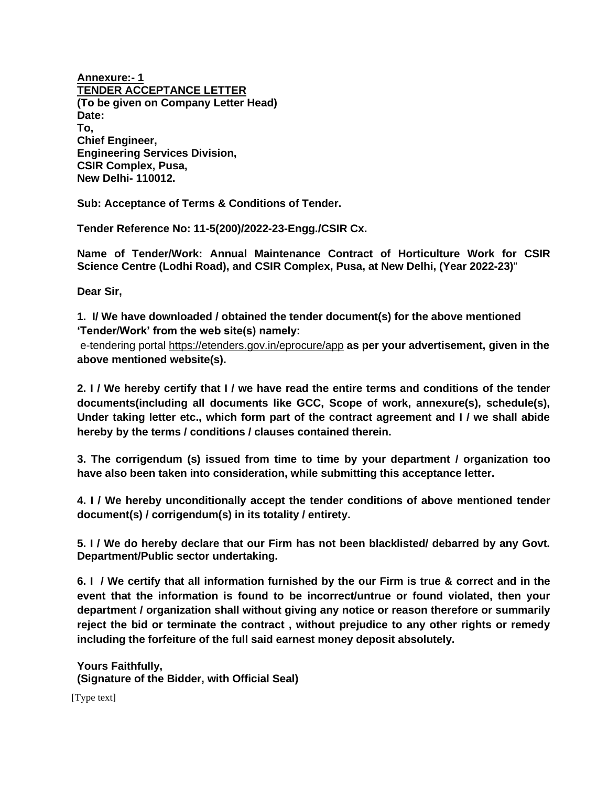**Annexure:- 1 TENDER ACCEPTANCE LETTER (To be given on Company Letter Head) Date: To, Chief Engineer, Engineering Services Division, CSIR Complex, Pusa, New Delhi- 110012.**

**Sub: Acceptance of Terms & Conditions of Tender.**

**Tender Reference No: 11-5(200)/2022-23-Engg./CSIR Cx.**

**Name of Tender/Work: Annual Maintenance Contract of Horticulture Work for CSIR Science Centre (Lodhi Road), and CSIR Complex, Pusa, at New Delhi, (Year 2022-23)**"

**Dear Sir,**

**1. I/ We have downloaded / obtained the tender document(s) for the above mentioned 'Tender/Work' from the web site(s) namely:** 

e-tendering portal<https://etenders.gov.in/eprocure/app> **as per your advertisement, given in the above mentioned website(s).**

**2. I / We hereby certify that I / we have read the entire terms and conditions of the tender documents(including all documents like GCC, Scope of work, annexure(s), schedule(s), Under taking letter etc., which form part of the contract agreement and I / we shall abide hereby by the terms / conditions / clauses contained therein.**

**3. The corrigendum (s) issued from time to time by your department / organization too have also been taken into consideration, while submitting this acceptance letter.**

**4. I / We hereby unconditionally accept the tender conditions of above mentioned tender document(s) / corrigendum(s) in its totality / entirety.**

**5. I / We do hereby declare that our Firm has not been blacklisted/ debarred by any Govt. Department/Public sector undertaking.**

**6. I / We certify that all information furnished by the our Firm is true & correct and in the event that the information is found to be incorrect/untrue or found violated, then your department / organization shall without giving any notice or reason therefore or summarily reject the bid or terminate the contract , without prejudice to any other rights or remedy including the forfeiture of the full said earnest money deposit absolutely.**

**Yours Faithfully, (Signature of the Bidder, with Official Seal)**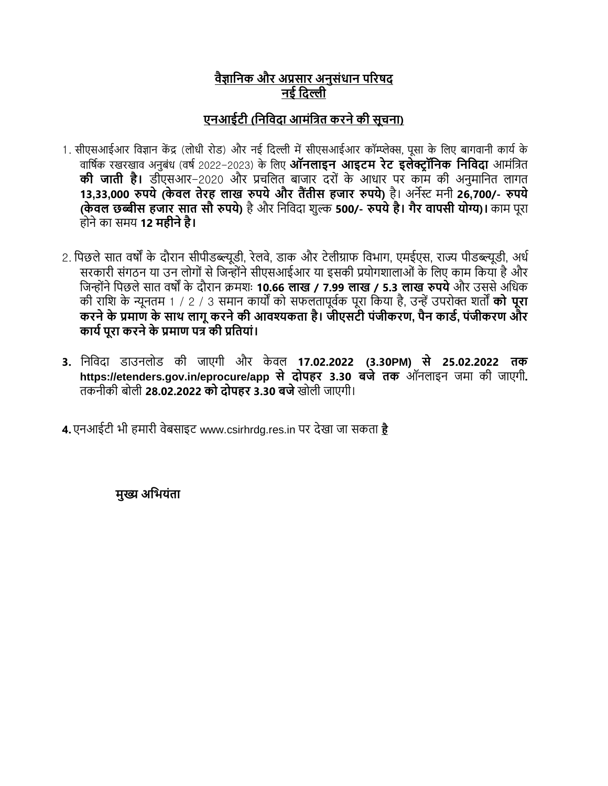# **वैज्ञानिक और अप्रसार अिुसंधाि पररषद िई नदल्ली**

# **एिआईटी (निनवदा आमंनित करिेकी सूचिा)**

- 1. सीएसआईआर विज्ञान केंद्र (लोधी रोड) और नई दिल्ली में सीएसआईआर कॉम्प्लेक्स, पुसा के लिए बागवानी कार्य के िावषयक रखरखाि अनुबंध (िषय2022-2023) के वलए **ऑिलाइि आइटम रेट इलेक्ट्र ॉनिक निनवदा** आमंवित **की जाती है।** डीएसआर-2020 और प्रचवलत बाजार िरों के आधार पर काम की अनुमावनत लागत 13,33,000 रुपये (केवल तेरह लाख रुपये और तैंतीस हजार रुपये) है। अर्नेस्ट मनी 26,700/- रुपये **(के वल छब्बीस हजार सात सौ रुपये)** हैऔर वनवििा शुल्क **500/- रुपयेहै। गैर वापसी योग्य)।** काम पूरा होनेका समर् **12 महीिेहै।**
- 2. पिछले सात वर्षों के दौरान सीपीडब्ल्यूडी, रेलवे, डाक और टेलीग्राफ विभाग, एमईएस, राज्य पीडब्ल्यूडी, अर्ध सरकारी संगठन या उन लोगों से जिन्होंने सीएसआईआर या इसकी प्रयोगशालाओं के लिए काम किया है और वजन्ोंनेवपछलेसात िषों के िौरान क्रमशः **10.66 लाख / 7.99 लाख / 5.3 लाख रुपये**और उससेअवधक की रावश के न्यूनतम 1 / 2 / 3 समान कार्ों को सफलतापूियक पूरा वकर्ा है, उन्ेंउपरोक्त शतों **को पूरा करिेके प्रमाण के साथ लागूकरिेकी आवश्यकता है। जीएसटी पंजीकरण, पैि कार्ड, पंजीकरण और कायडपूरा करिेके प्रमाण पि की प्रनतयां।**
- **3.** वनवििा डाउनलोड की जाएगी और के िल **17.02.2022 (3.30PM) से 25.02.2022 तक https://etenders.gov.in/eprocure/app से दोपहर 3.30 बजे तक** ऑनलाइन जमा की जाएगी**.**  तकनीकी बोली **28.02.2022 को दोपहर 3.30 बजे**खोली जाएगी।

**4.** एनआईटी भी हमारी िेबसाइट www.csirhrdg.res.in पर िेखा जा सकता **[है](http://www.csirhrdg.res.in/)**

**मुख्य अनियंता**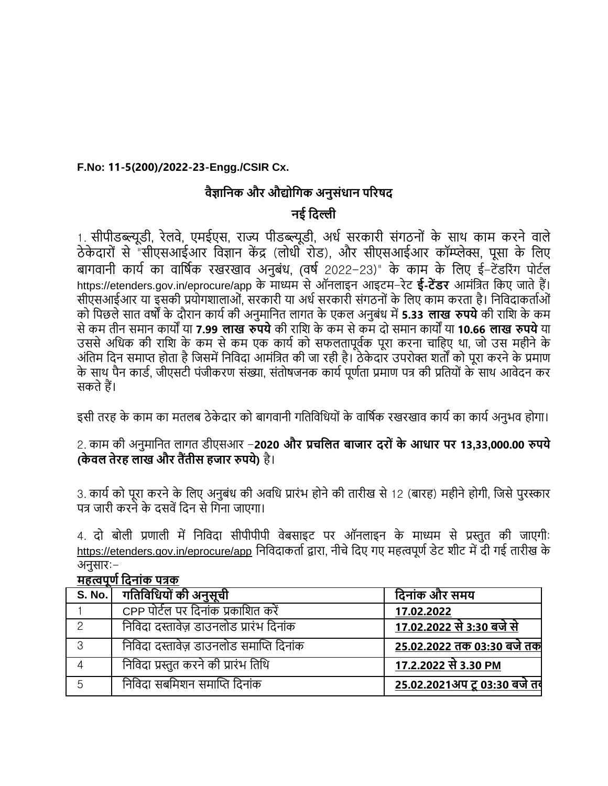## **F.No: 11-5(200)/2022-23-Engg./CSIR Cx.**

## **वैज्ञानिक और औद्योनगक अिुसंधाि पररषद**

## **िई नदल्ली**

1. सीपीडब्ल्यूडी, रेलवे, एमईएस, राज्य पीडब्ल्यूडी, अर्ध सरकारी संगठनों के साथ काम करने वाले ठे के िारों से "सीएसआईआर विज्ञान कें द्र (लोधी रोड), और सीएसआईआर कॉम्प्लेक्स, पूसा के वलए बागवानी कार्य का वार्षिक रखरखाव अनुबंध, (वर्ष 2022-23)" के काम के लिए ई-टेंडरिंग पोर्टल https://etenders.gov.in/eprocure/app के माध्यम सेऑनलाइन आइटम-रेट **ई-टेंर्र** आमंवित वकए जातेहैं। सीएसआईआर या इसकी प्रयोगशालाओं, सरकारी या अर्ध सरकारी संगठनों के लिए काम करता है। निविदाकर्ताओं को वपछलेसात िषों के िौरान कार्यकी अनुमावनत लागत के एकल अनुबंध में**5.33 लाख रुपये**की रावश के कम सेकम तीन समान कार्ों र्ा **7.99 लाख रुपये**की रावश के कम सेकम िो समान कार्ों र्ा **10.66 लाख रुपये**र्ा उससे अधिक की राशि के कम से कम एक कार्य को सफलतापूर्वक पूरा करना चाहिए था, जो उस महीने के अंतिम दिन समाप्त होता है जिसमें निविदा आमंत्रित की जा रही है। ठेकेदार उपरोक्त शर्तों को पूरा करने के प्रमाण के साथ पैन कार्ड, जीएसटी पंजीकरण संख्या, संतोषजनक कार्य पूर्णता प्रमाण पत्र की प्रतियों के साथ आवेदन कर सकतेहैं।

इसी तरह के काम का मतलब ठेकेदार को बागवानी गतिविधियों के वार्षिक रखरखाव कार्य का कार्य अनुभव होगा।

2. काम की अनुमावनत लागत डीएसआर -**2020 और प्रचनलत बाजार दरो ंके आधार पर 13,33,000.00 रुपये (के वल तेरह लाख और तैंतीस हजार रुपये)** है।

3. कार्य को पूरा करने के लिए अनुबंध की अवधि प्रारंभ होने की तारीख से 12 (बारह) महीने होगी, जिसे पुरस्कार पत्र जारी करने के दसवें दिन से गिना जाएगा।

4. दो बोली प्रणाली में निविदा सीपीपीपी वेबसाइट पर ऑनलाइन के माध्यम से प्रस्तुत की जाएगी: <https://etenders.gov.in/eprocure/app> निविदाकर्ता द्वारा, नीचे दिए गए महत्वपूर्ण डेट शीट में दी गई तारीख के अनुसार:- **महत्वपूणडनदिांक पिक**

| <b>יוויאו וע</b> יוואי אזויאו |                                         |                                     |  |
|-------------------------------|-----------------------------------------|-------------------------------------|--|
| S. No.                        | ि गतिविधियों की अनुसूची                 | दिनांक और समय                       |  |
|                               | CPP पोर्टल पर दिनांक प्रकाशित करें      | 17.02.2022                          |  |
| $\circ$                       | निविदा दस्तावेज़ डाउनलोड प्रारंभ दिनांक | <u>17.02.2022 से 3:30 बजे से </u>   |  |
| 3                             | निविदा दस्तावेज़ डाउनलोड समाप्ति दिनांक | 25.02.2022 तक 03:30 बजे तक          |  |
|                               | निविदा प्रस्तुत करने की प्रारंभ तिथि    | 17.2.2022 से 3.30 PM                |  |
| 5                             | निविदा सबमिशन समाप्ति दिनांक            | <u>25.02.2021अप टू 03:30 बजे तर</u> |  |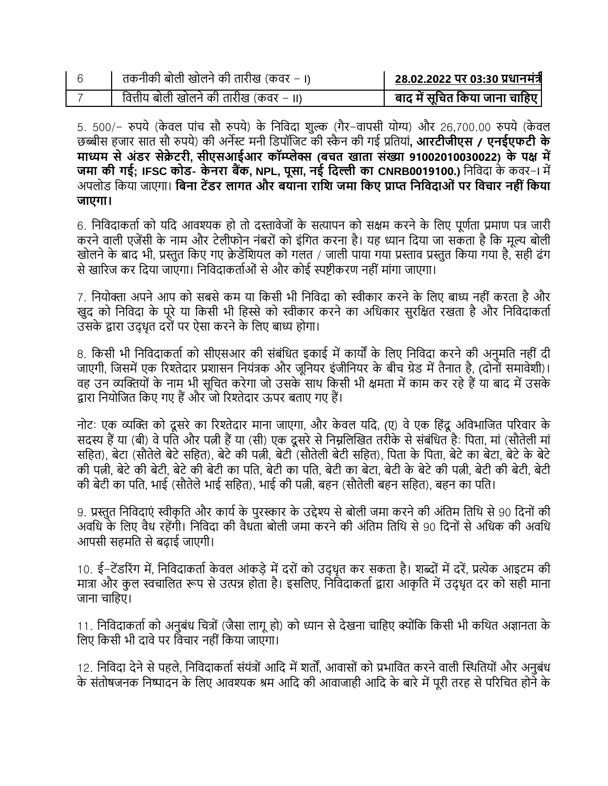| तकनीकी बोली खोलने की तारीख (कवर – ।)   | 28.02.2022 पर 03:30 प्रधानमंत्री |
|----------------------------------------|----------------------------------|
| वित्तीय बोली खोलने की तारीख (कवर – II) | बाद में सूचित किया जाना चाहिए    |

5. 500/– रुपये (केवल पांच सौ रुपये) के निविदा शुल्क (गैर–वापसी योग्य) और 26,700.00 रुपये (केवल छब्बीस हजार सात सौ रुपर्े) की अनेस्ट मनी वडपॉवजट की स्कै न की गई प्रवतर्ां**, आरटीजीएस / एिईएफटी के माध्यम सेअंर्र सेक्रे टरी, सीएसआईआर कॉम्प्लेक्स (बचत खाता संख्या 91002010030022) के पक्ष में जमा की गई; IFSC कोर्- के िरा बैंक, NPL, पूसा, िई नदल्ली का CNRB0019100.)** वनवििा के किर-I में अपलोड वकर्ा जाएगा। **नबिा टेंर्र लागत और बयािा रानि जमा नकए प्राप्त निनवदाओं पर नवचार िही ंनकया जाएगा।**

6. निविदाकर्ता को यदि आवश्यक हो तो दस्तावेजों के सत्यापन को सक्षम करने के लिए पूर्णता प्रमाण पत्र जारी करने वाली एजेंसी के नाम और टेलीफोन नंबरों को इंगित करना है। यह ध्यान दिया जा सकता है कि मूल्य बोली खोलने के बाद भी, प्रस्तुत किए गए क्रेडेंशियल को गलत / जाली पाया गया प्रस्ताव प्रस्तुत किया गया है, सही ढंग से खारिज कर दिया जाएगा। निविदाकर्ताओं से और कोई स्पष्टीकरण नहीं मांगा जाएगा।

7. नियोक्ता अपने आप को सबसे कम या किसी भी निविदा को स्वीकार करने के लिए बाध्य नहीं करता है और खुद को निविदा के पूरे या किसी भी हिस्से को स्वीकार करने का अधिकार सुरक्षित रखता है और निविदाकर्ता उसके द्वारा उद्धृत दरों पर ऐसा करने के लिए बाध्य होगा।

8. किसी भी निविदाकर्ता को सीएसआर की संबंधित इकाई में कार्यों के लिए निविदा करने की अनुमति नहीं दी जाएगी, जिसमें एक रिश्तेदार प्रशासन नियंत्रक और जूनियर इंजीनियर के बीच ग्रेड में तैनात है, (दोनों समावेशी)। वह उन व्यक्तियों के नाम भी सूचित करेगा जो उसके साथ किसी भी क्षमता में काम कर रहे हैं या बाद में उसके द्वारा नियोजित किए गए हैं और जो रिश्तेदार ऊपर बताए गए हैं।

नोट: एक व्यक्ति को दूसरे का रिश्तेदार माना जाएगा, और केवल यदि, (ए) वे एक हिंदू अविभाजित परिवार के सदस्य हैं या (बी) वे पति और पत्नी हैं या (सी) एक दूसरे से निम्नलिखित तरीके से संबंधित है: पिता, मां (सौतेली मां सहित), बेटा (सौतेले बेटे सहित), बेटे की पत्नी, बेटी (सौतेली बेटी सहित), पिता के पिता, बेटे का बेटा, बेटे के बेटे की पत्नी, बेटेकी बेटी, बेटेकी बेटी का पवत, बेटी का पवत, बेटी का बेटा, बेटी के बेटेकी पत्नी, बेटी की बेटी, बेटी की बेटी का पति, भाई (सौतेले भाई सहित), भाई की पत्नी, बहन (सौतेली बहन सहित), बहन का पति।

9. प्रस्तुत निविदाएं स्वीकृति और कार्य के पुरस्कार के उद्देश्य से बोली जमा करने की अंतिम तिथि से 90 दिनों की अवधि के लिए वैध रहेंगी। निविदा की वैधता बोली जमा करने की अंतिम तिथि से 90 दिनों से अधिक की अवधि आपसी सहमवत सेबढाई जाएगी।

10. ई-टेंडरिंग में, निविदाकर्ता केवल आंकडे में दरों को उदधृत कर सकता है। शब्दों में दरें, प्रत्येक आइटम की मात्रा और कुल स्वचालित रूप से उत्पन्न होता है। इसलिए, निविदाकर्ता द्वारा आकृति में उद्धृत दर को सही माना जाना चावहए।

11. निविदाकर्ता को अनुबंध चित्रों (जैसा लागू हो) को ध्यान से देखना चाहिए क्योंकि किसी भी कथित अज्ञानता के लिए किसी भी दावे पर विचार नहीं किया जाएगा।

12. निविदा देने से पहले, निविदाकर्ता संयंत्रों आदि में शर्तों, आवासों को प्रभावित करने वाली स्थितियों और अनुबंध के संतोषजनक निष्पादन के लिए आवश्यक श्रम आदि की आवाजाही आदि के बारे में पूरी तरह से परिचित होने के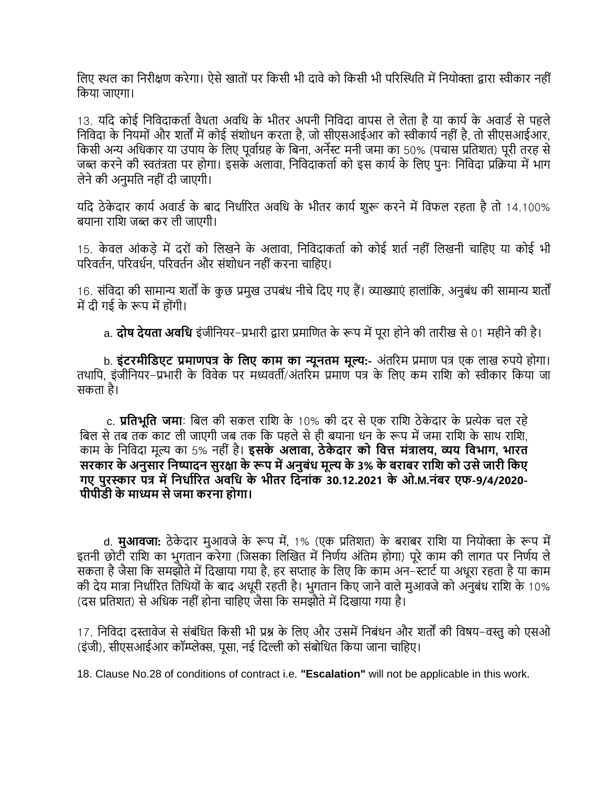विए स्थल का निरीक्षण करेगा। ऐसे खातों पर किसी भी दावे को किसी भी परिस्थिति में नियोक्ता द्वारा स्वीकार नहीं वकर्ा जाएगा।

13. यदि कोई निविदाकर्ता वैधता अवधि के भीतर अपनी निविदा वापस ले लेता है या कार्य के अवार्ड से पहले निविदा के नियमों और शर्तों में कोई संशोधन करता है, जो सीएसआईआर को स्वीकार्य नहीं है. तो सीएसआईआर, वकसी अन्य अवधकार र्ा उपार् के वलए पूिायग्रह के वबना, अनेस्ट मनी जमा का 50% (पचास प्रवतशत) पूरी तरह से जब्त करने की स्वतंत्रता पर होगा। इसके अलावा, निविदाकर्ता को इस कार्य के लिए पन: निविदा प्रक्रिया में भाग लेनेकी अनुमवत नही ंिी जाएगी।

यदि ठेकेदार कार्य अवार्ड के बाद निर्धारित अवधि के भीतर कार्य शुरू करने में विफल रहता है तो 14.100% बर्ाना रावश जब्त कर ली जाएगी।

15. केवल आंकडे में दरों को लिखने के अलावा, निविदाकर्ता को कोई शर्त नहीं लिखनी चाहिए या कोई भी परिवर्तन, परिवर्धन, परिवर्तन और संशोधन नहीं करना चाहिए।

16. संविदा की सामान्य शर्तों के कुछ प्रमुख उपबंध नीचे दिए गए हैं। व्याख्याएं हालांकि, अनुबंध की सामान्य शर्तों में दी गई के रूप में होंगी।

a. **दोष देयता अवनध** इंजीवनर्र-प्रभारी द्वारा प्रमावणत के रूप मेंपूरा होनेकी तारीख से01 महीनेकी है।

b. **इंटरमीनर्एट प्रमाणपि के नलए काम का न्यूितम मूल्य:-** अंतररम प्रमाण पि एक लाख रुपर्ेहोगा। तथापि, इंजीनियर-प्रभारी के विवेक पर मध्यवर्ती/अंतरिम प्रमाण पत्र के लिए कम राशि को स्वीकार किया जा सकता है।

c. **प्रनतिूनत जमा**: वबल की सकल रावश के 10% की िर सेएक रावश ठे के िार के प्रत्येक चल रहे बिल से तब तक काट ली जाएगी जब तक कि पहले से ही बयाना धन के रूप में जमा राशि के साथ राशि, काम के वनवििा मूल्य का 5% नही ं है। **इसके अलावा, ठेके दार को नवत्त मंिालय, व्यय नविाग, िारत सरकार के अिुसार निष्पादि सुरक्षा के रूप मेंअिुबंध मूल्य के 3% के बराबर रानि को उसेजारी नकए गए पुरस्कार पि मेंनिधाडररत अवनध के िीतर नदिांक 30.12.2021 के ओ.M.िंबर एफ-9/4/2020- पीपीर्ी के माध्यम सेजमा करिा होगा।**

d. **मुआवजा:** ठेकेदार मुआवजे के रूप में, 1% (एक प्रतिशत) के बराबर राशि या नियोक्ता के रूप में इतनी छोटी राशि का भुगतान करेगा (जिसका लिखित में निर्णय अंतिम होगा) पूरे काम की लागत पर निर्णय ले सकता है जैसा कि समझौते में दिखाया गया है, हर सप्ताह के लिए कि काम अन–स्टार्ट या अधूरा रहता है या काम की देय मात्रा निर्धारित तिथियों के बाद अधूरी रहती है। भुगतान किए जाने वाले मुआवजे को अनुबंध राशि के 10% (दस प्रतिशत) से अधिक नहीं होना चाहिए जैसा कि समझौते में दिखाया गया है।

17. निविदा दस्तावेज से संबंधित किसी भी प्रश्न के लिए और उसमें निबंधन और शर्तों की विषय-वस्तु को एसओ (इंजी), सीएसआईआर कॉम्प्लेक्स, पूसा, नई विल्ली को संबोवधत वकर्ा जाना चावहए।

18. Clause No.28 of conditions of contract i.e. **"Escalation"** will not be applicable in this work.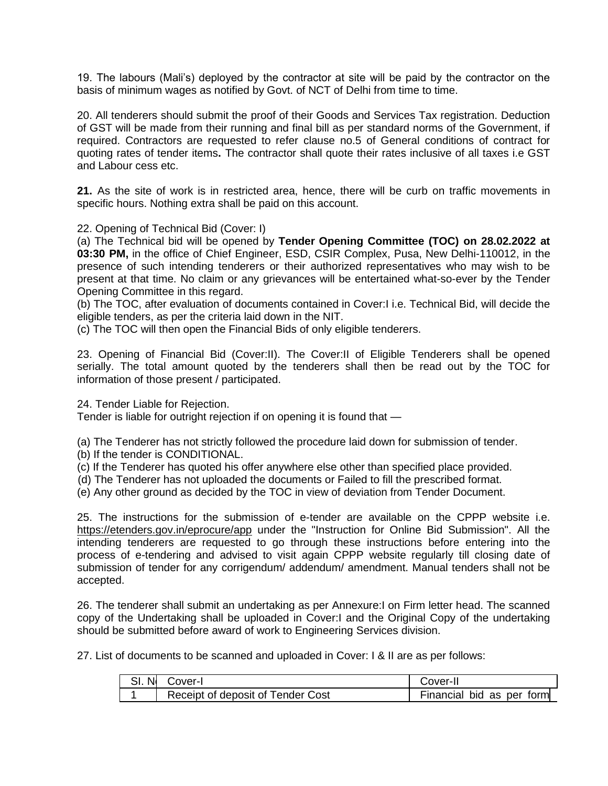19. The labours (Mali's) deployed by the contractor at site will be paid by the contractor on the basis of minimum wages as notified by Govt. of NCT of Delhi from time to time.

20. All tenderers should submit the proof of their Goods and Services Tax registration. Deduction of GST will be made from their running and final bill as per standard norms of the Government, if required. Contractors are requested to refer clause no.5 of General conditions of contract for quoting rates of tender items**.** The contractor shall quote their rates inclusive of all taxes i.e GST and Labour cess etc.

**21.** As the site of work is in restricted area, hence, there will be curb on traffic movements in specific hours. Nothing extra shall be paid on this account.

22. Opening of Technical Bid (Cover: I)

(a) The Technical bid will be opened by **Tender Opening Committee (TOC) on 28.02.2022 at 03:30 PM,** in the office of Chief Engineer, ESD, CSIR Complex, Pusa, New Delhi-110012, in the presence of such intending tenderers or their authorized representatives who may wish to be present at that time. No claim or any grievances will be entertained what-so-ever by the Tender Opening Committee in this regard.

(b) The TOC, after evaluation of documents contained in Cover:I i.e. Technical Bid, will decide the eligible tenders, as per the criteria laid down in the NIT.

(c) The TOC will then open the Financial Bids of only eligible tenderers.

23. Opening of Financial Bid (Cover:II). The Cover:II of Eligible Tenderers shall be opened serially. The total amount quoted by the tenderers shall then be read out by the TOC for information of those present / participated.

24. Tender Liable for Rejection.

Tender is liable for outright rejection if on opening it is found that —

(a) The Tenderer has not strictly followed the procedure laid down for submission of tender.

- (b) If the tender is CONDITIONAL.
- (c) If the Tenderer has quoted his offer anywhere else other than specified place provided.
- (d) The Tenderer has not uploaded the documents or Failed to fill the prescribed format.
- (e) Any other ground as decided by the TOC in view of deviation from Tender Document.

25. The instructions for the submission of e-tender are available on the CPPP website i.e. <https://etenders.gov.in/eprocure/app> under the "Instruction for Online Bid Submission". All the intending tenderers are requested to go through these instructions before entering into the process of e-tendering and advised to visit again CPPP website regularly till closing date of submission of tender for any corrigendum/ addendum/ amendment. Manual tenders shall not be accepted.

26. The tenderer shall submit an undertaking as per Annexure:I on Firm letter head. The scanned copy of the Undertaking shall be uploaded in Cover:I and the Original Copy of the undertaking should be submitted before award of work to Engineering Services division.

27. List of documents to be scanned and uploaded in Cover: I & II are as per follows:

| . Nl | Cover-I                           | Cover-II                  |
|------|-----------------------------------|---------------------------|
|      | Receipt of deposit of Tender Cost | Financial bid as per form |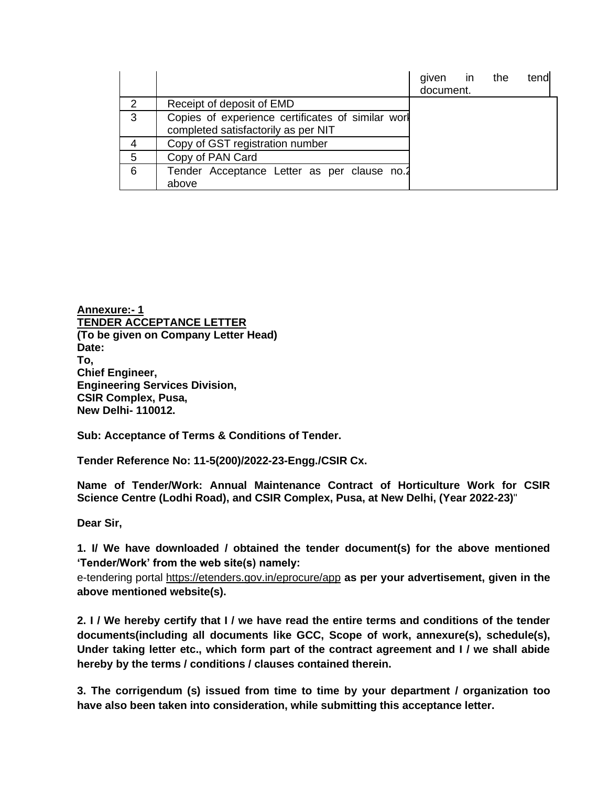|               |                                                                                          | given in<br>document. | the | tend |
|---------------|------------------------------------------------------------------------------------------|-----------------------|-----|------|
| $\mathcal{P}$ | Receipt of deposit of EMD                                                                |                       |     |      |
| 3             | Copies of experience certificates of similar worl<br>completed satisfactorily as per NIT |                       |     |      |
|               | Copy of GST registration number                                                          |                       |     |      |
| 5             | Copy of PAN Card                                                                         |                       |     |      |
| 6             | Tender Acceptance Letter as per clause no.2<br>above                                     |                       |     |      |

**Annexure:- 1 TENDER ACCEPTANCE LETTER (To be given on Company Letter Head) Date: To, Chief Engineer, Engineering Services Division, CSIR Complex, Pusa, New Delhi- 110012.**

**Sub: Acceptance of Terms & Conditions of Tender.**

**Tender Reference No: 11-5(200)/2022-23-Engg./CSIR Cx.**

**Name of Tender/Work: Annual Maintenance Contract of Horticulture Work for CSIR Science Centre (Lodhi Road), and CSIR Complex, Pusa, at New Delhi, (Year 2022-23)**"

**Dear Sir,**

**1. I/ We have downloaded / obtained the tender document(s) for the above mentioned 'Tender/Work' from the web site(s) namely:** 

e-tendering portal<https://etenders.gov.in/eprocure/app> **as per your advertisement, given in the above mentioned website(s).**

**2. I / We hereby certify that I / we have read the entire terms and conditions of the tender documents(including all documents like GCC, Scope of work, annexure(s), schedule(s), Under taking letter etc., which form part of the contract agreement and I / we shall abide hereby by the terms / conditions / clauses contained therein.**

**3. The corrigendum (s) issued from time to time by your department / organization too have also been taken into consideration, while submitting this acceptance letter.**